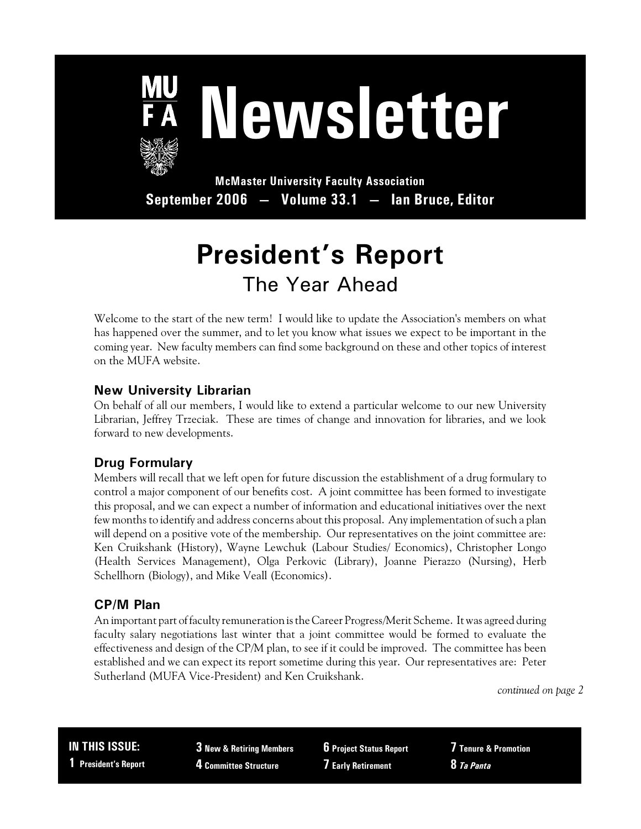

# **Newsletter**

**McMaster University Faculty Association September 2006 — Volume 33.1 — Ian Bruce, Editor**

# **President's Report** The Year Ahead

Welcome to the start of the new term! I would like to update the Association's members on what has happened over the summer, and to let you know what issues we expect to be important in the coming year. New faculty members can find some background on these and other topics of interest on the MUFA website.

#### **New University Librarian**

On behalf of all our members, I would like to extend a particular welcome to our new University Librarian, Jeffrey Trzeciak. These are times of change and innovation for libraries, and we look forward to new developments.

## **Drug Formulary**

Members will recall that we left open for future discussion the establishment of a drug formulary to control a major component of our benefits cost. A joint committee has been formed to investigate this proposal, and we can expect a number of information and educational initiatives over the next few months to identify and address concerns about this proposal. Any implementation of such a plan will depend on a positive vote of the membership. Our representatives on the joint committee are: Ken Cruikshank (History), Wayne Lewchuk (Labour Studies/ Economics), Christopher Longo (Health Services Management), Olga Perkovic (Library), Joanne Pierazzo (Nursing), Herb Schellhorn (Biology), and Mike Veall (Economics).

## **CP/M Plan**

An important part of faculty remuneration is the Career Progress/Merit Scheme. It was agreed during faculty salary negotiations last winter that a joint committee would be formed to evaluate the effectiveness and design of the CP/M plan, to see if it could be improved. The committee has been established and we can expect its report sometime during this year. Our representatives are: Peter Sutherland (MUFA Vice-President) and Ken Cruikshank.

*continued on page 2*

**IN THIS ISSUE: 1 President's Report**

**3 New & Retiring Members 4 Committee Structure**

**6 Project Status Report 7 Early Retirement**

**7 Tenure & Promotion 8** *Ta Panta*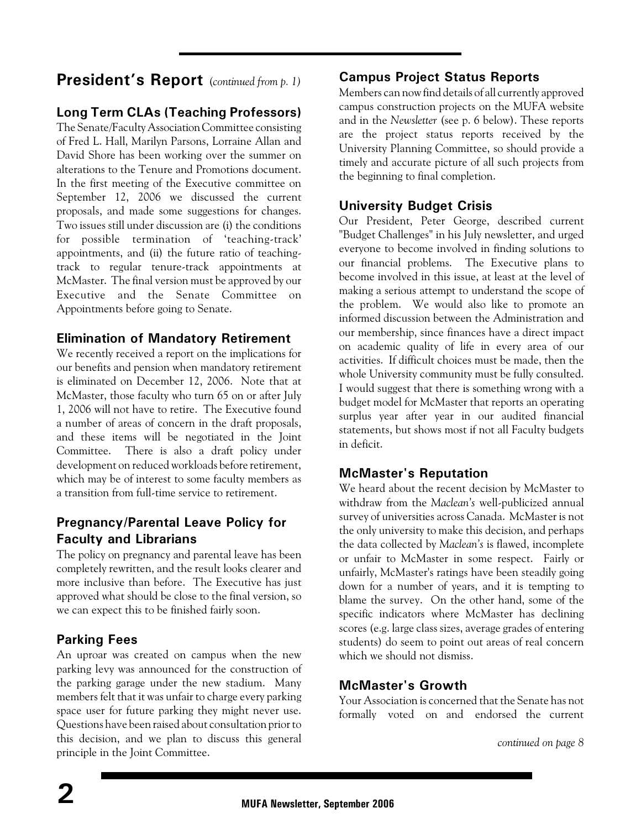# **President's Report** (*continued from p. 1)*

## **Long Term CLAs (Teaching Professors)**

The Senate/Faculty Association Committee consisting of Fred L. Hall, Marilyn Parsons, Lorraine Allan and David Shore has been working over the summer on alterations to the Tenure and Promotions document. In the first meeting of the Executive committee on September 12, 2006 we discussed the current proposals, and made some suggestions for changes. Two issues still under discussion are (i) the conditions for possible termination of 'teaching-track' appointments, and (ii) the future ratio of teachingtrack to regular tenure-track appointments at McMaster. The final version must be approved by our Executive and the Senate Committee on Appointments before going to Senate.

#### **Elimination of Mandatory Retirement**

We recently received a report on the implications for our benefits and pension when mandatory retirement is eliminated on December 12, 2006. Note that at McMaster, those faculty who turn 65 on or after July 1, 2006 will not have to retire. The Executive found a number of areas of concern in the draft proposals, and these items will be negotiated in the Joint Committee. There is also a draft policy under development on reduced workloads before retirement, which may be of interest to some faculty members as a transition from full-time service to retirement.

## **Pregnancy/Parental Leave Policy for Faculty and Librarians**

The policy on pregnancy and parental leave has been completely rewritten, and the result looks clearer and more inclusive than before. The Executive has just approved what should be close to the final version, so we can expect this to be finished fairly soon.

## **Parking Fees**

An uproar was created on campus when the new parking levy was announced for the construction of the parking garage under the new stadium. Many members felt that it was unfair to charge every parking space user for future parking they might never use. Questions have been raised about consultation prior to this decision, and we plan to discuss this general principle in the Joint Committee.

## **Campus Project Status Reports**

Members can nowfind details of all currently approved campus construction projects on the MUFA website and in the *Newsletter* (see p. 6 below). These reports are the project status reports received by the University Planning Committee, so should provide a timely and accurate picture of all such projects from the beginning to final completion.

## **University Budget Crisis**

Our President, Peter George, described current "Budget Challenges" in his July newsletter, and urged everyone to become involved in finding solutions to our financial problems. The Executive plans to become involved in this issue, at least at the level of making a serious attempt to understand the scope of the problem. We would also like to promote an informed discussion between the Administration and our membership, since finances have a direct impact on academic quality of life in every area of our activities. If difficult choices must be made, then the whole University community must be fully consulted. I would suggest that there is something wrong with a budget model for McMaster that reports an operating surplus year after year in our audited financial statements, but shows most if not all Faculty budgets in deficit.

## **McMaster's Reputation**

We heard about the recent decision by McMaster to withdraw from the *Maclean's* well-publicized annual survey of universities across Canada. McMaster is not the only university to make this decision, and perhaps the data collected by *Maclean's* is flawed, incomplete or unfair to McMaster in some respect. Fairly or unfairly, McMaster's ratings have been steadily going down for a number of years, and it is tempting to blame the survey. On the other hand, some of the specific indicators where McMaster has declining scores (e.g. large class sizes, average grades of entering students) do seem to point out areas of real concern which we should not dismiss.

## **McMaster's Growth**

Your Association is concerned that the Senate has not formally voted on and endorsed the current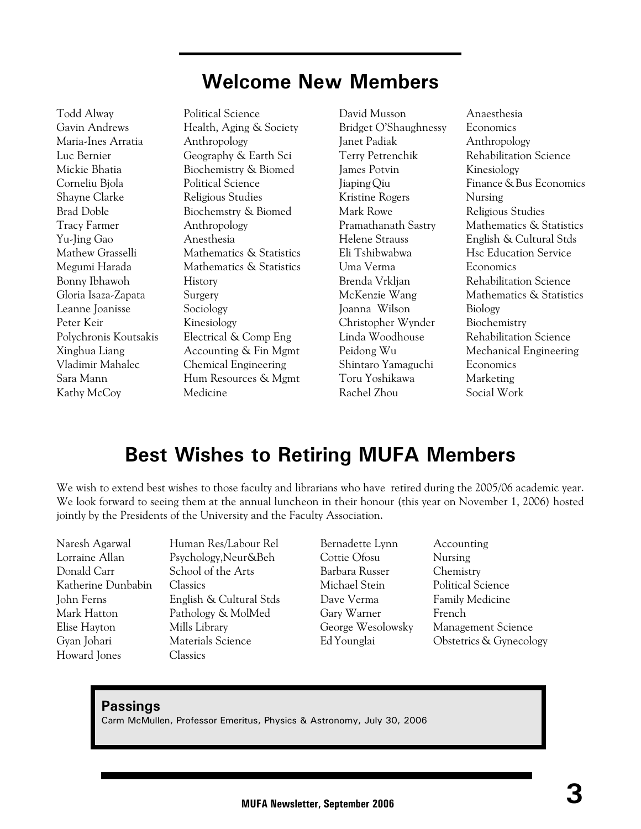# **Welcome New Members**

Todd Alway **Political Science** Maria-Ines Arratia Anthropology Corneliu Bjola Political Science Shayne Clarke Religious Studies Tracy Farmer Anthropology Yu-Jing Gao Anesthesia Bonny Ibhawoh History Gloria Isaza-Zapata Surgery Leanne Joanisse Sociology Peter Keir Kinesiology Kathy McCoy Medicine

Gavin Andrews Health, Aging & Society Luc Bernier Geography & Earth Sci Mickie Bhatia Biochemistry & Biomed Brad Doble Biochemstry & Biomed Mathew Grasselli Mathematics & Statistics Megumi Harada Mathematics & Statistics Polychronis Koutsakis Electrical & Comp Eng Xinghua Liang **Accounting & Fin Mgmt** Vladimir Mahalec Chemical Engineering Sara Mann Hum Resources & Mgmt

David Musson Anaesthesia Bridget O'Shaughnessy Economics Janet Padiak Anthropology Terry Petrenchik Rehabilitation Science James Potvin Kinesiology Kristine Rogers Nursing Mark Rowe Religious Studies Uma Verma Economics Brenda Vrkljan Rehabilitation Science Joanna Wilson Biology Christopher Wynder Biochemistry Shintaro Yamaguchi Economics Toru Yoshikawa Marketing Rachel Zhou Social Work

Jiaping Qiu Finance & Bus Economics Pramathanath Sastry Mathematics & Statistics Helene Strauss English & Cultural Stds Eli Tshibwabwa Hsc Education Service McKenzie Wang Mathematics & Statistics Linda Woodhouse Rehabilitation Science Peidong Wu Mechanical Engineering

# **Best Wishes to Retiring MUFA Members**

We wish to extend best wishes to those faculty and librarians who have retired during the 2005/06 academic year. We look forward to seeing them at the annual luncheon in their honour (this year on November 1, 2006) hosted jointly by the Presidents of the University and the Faculty Association.

Donald Carr School of the Arts Katherine Dunbabin Classics Elise Hayton Mills Library Gyan Johari Materials Science Howard Jones Classics

Naresh Agarwal Human Res/Labour Rel Lorraine Allan Psychology,Neur&Beh John Ferns English & Cultural Stds Mark Hatton Pathology & MolMed

Bernadette Lynn Accounting Cottie Ofosu Nursing Barbara Russer Chemistry Michael Stein Political Science Dave Verma Family Medicine Gary Warner French

George Wesolowsky Management Science Ed Younglai Obstetrics & Gynecology

#### **Passings**

Carm McMullen, Professor Emeritus, Physics & Astronomy, July 30, 2006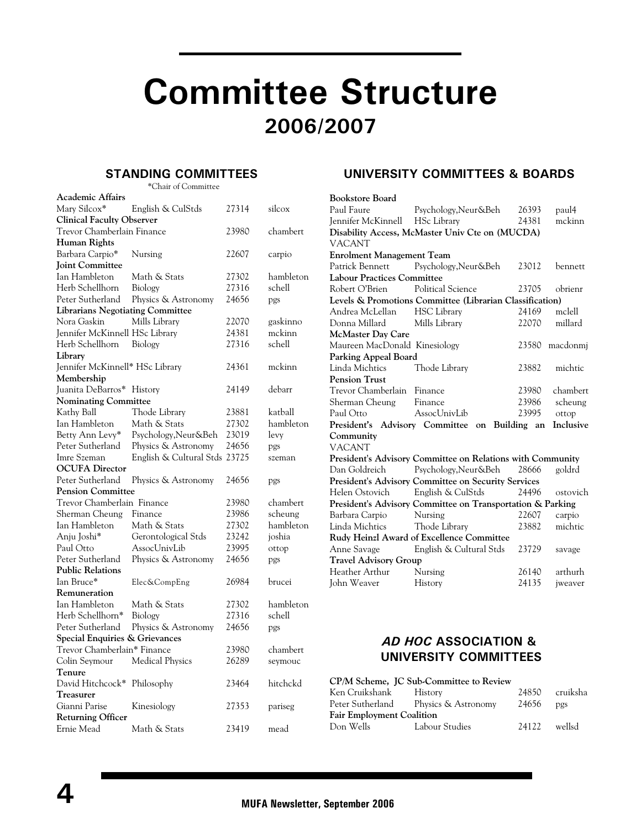# **Committee Structure 2006/2007**

#### **STANDING COMMITTEES**

\*Chair of Committee

| <b>Academic Affairs</b>                 |                               |          |           |
|-----------------------------------------|-------------------------------|----------|-----------|
| Mary Silcox*                            | English & CulStds             | 27314    | silcox    |
| <b>Clinical Faculty Observer</b>        |                               |          |           |
| Trevor Chamberlain Finance              | 23980                         | chambert |           |
| Human Rights                            |                               |          |           |
| Barbara Carpio*                         | Nursing                       | 22607    | carpio    |
| <b>Joint Committee</b>                  |                               |          |           |
| Ian Hambleton                           | Math & Stats                  | 27302    | hambleton |
| Herb Schellhorn                         | Biology                       | 27316    | schell    |
| Peter Sutherland                        | Physics & Astronomy           | 24656    | pgs       |
| <b>Librarians Negotiating Committee</b> |                               |          |           |
| Nora Gaskin                             | Mills Library                 | 22070    | gaskinno  |
| Jennifer McKinnell HSc Library          |                               | 24381    | mckinn    |
| Herb Schellhorn                         | Biology                       | 27316    | schell    |
| Library                                 |                               |          |           |
| Jennifer McKinnell* HSc Library         |                               | 24361    | mckinn    |
| Membership                              |                               |          |           |
| Juanita DeBarros*                       | History                       | 24149    | debarr    |
| <b>Nominating Committee</b>             |                               |          |           |
| Kathy Ball                              | Thode Library                 | 23881    | katball   |
| Ian Hambleton                           | Math & Stats                  | 27302    | hambleton |
| Betty Ann Levy*                         | Psychology, Neur&Beh          | 23019    | levy      |
| Peter Sutherland                        | Physics & Astronomy           | 24656    | pgs       |
| Imre Szeman                             | English & Cultural Stds 23725 |          | szeman    |
| <b>OCUFA</b> Director                   |                               |          |           |
| Peter Sutherland                        | Physics & Astronomy           | 24656    | pgs       |
| <b>Pension Committee</b>                |                               |          |           |
| Trevor Chamberlain Finance              |                               | 23980    | chambert  |
| Sherman Cheung                          | Finance                       | 23986    | scheung   |
| Ian Hambleton                           | Math & Stats                  | 27302    | hambleton |
| Anju Joshi*                             | Gerontological Stds           | 23242    | joshia    |
| Paul Otto                               | AssocUnivLib                  | 23995    | ottop     |
| Peter Sutherland                        | Physics & Astronomy           | 24656    | pgs       |
| <b>Public Relations</b>                 |                               |          |           |
| Ian Bruce*                              | Elec&CompEng                  | 26984    | brucei    |
| Remuneration                            |                               |          |           |
| Ian Hambleton                           | Math & Stats                  | 27302    | hambleton |
| Herb Schellhorn*                        | Biology                       | 27316    | schell    |
| Peter Sutherland                        | Physics & Astronomy           | 24656    | pgs       |
| Special Enquiries & Grievances          |                               |          |           |
| Trevor Chamberlain* Finance             |                               | 23980    | chambert  |
| Colin Seymour                           | <b>Medical Physics</b>        | 26289    | seymouc   |
| Tenure                                  |                               |          |           |
| David Hitchcock*                        | Philosophy                    | 23464    | hitchckd  |
| <b>Treasurer</b>                        |                               |          |           |
| Gianni Parise                           | Kinesiology                   | 27353    | pariseg   |
| <b>Returning Officer</b>                |                               |          |           |
| Ernie Mead                              | Math & Stats                  | 23419    | mead      |
|                                         |                               |          |           |

#### **UNIVERSITY COMMITTEES & BOARDS**

| <b>Bookstore Board</b>            |                                                            |       |                |  |
|-----------------------------------|------------------------------------------------------------|-------|----------------|--|
| Paul Faure                        | Psychology, Neur&Beh                                       | 26393 | paul4          |  |
| Jennifer McKinnell HSc Library    |                                                            | 24381 | mckinn         |  |
|                                   | Disability Access, McMaster Univ Cte on (MUCDA)            |       |                |  |
| <b>VACANT</b>                     |                                                            |       |                |  |
| <b>Enrolment Management Team</b>  |                                                            |       |                |  |
|                                   | Patrick Bennett Psychology, Neur&Beh                       | 23012 | bennett        |  |
| <b>Labour Practices Committee</b> |                                                            |       |                |  |
| Robert O'Brien                    | Political Science                                          | 23705 | obrienr        |  |
|                                   | Levels & Promotions Committee (Librarian Classification)   |       |                |  |
| Andrea McLellan                   | HSC Library                                                | 24169 | mclell         |  |
| Donna Millard Mills Library       |                                                            | 22070 | millard        |  |
| <b>McMaster Day Care</b>          |                                                            |       |                |  |
| Maureen MacDonald Kinesiology     |                                                            |       | 23580 macdonmi |  |
| Parking Appeal Board              |                                                            |       |                |  |
| Linda Michtics                    | Thode Library                                              | 23882 | michtic        |  |
| <b>Pension Trust</b>              |                                                            |       |                |  |
| Trevor Chamberlain Finance        |                                                            | 23980 | chambert       |  |
| Sherman Cheung Finance            |                                                            | 23986 | scheung        |  |
| Paul Otto                         | AssocUnivLib                                               | 23995 | ottop          |  |
|                                   | President's Advisory Committee on Building an              |       | Inclusive      |  |
| Community                         |                                                            |       |                |  |
| <b>VACANT</b>                     |                                                            |       |                |  |
|                                   | President's Advisory Committee on Relations with Community |       |                |  |
| Dan Goldreich                     | Psychology, Neur&Beh 28666                                 |       | goldrd         |  |
|                                   | President's Advisory Committee on Security Services        |       |                |  |
| Helen Ostovich                    | English & CulStds<br>24496<br>ostovich                     |       |                |  |
|                                   | President's Advisory Committee on Transportation & Parking |       |                |  |
| Barbara Carpio                    | Nursing                                                    | 22607 | carpio         |  |
| Linda Michtics                    | Thode Library                                              | 23882 | michtic        |  |
|                                   | Rudy Heinzl Award of Excellence Committee                  |       |                |  |
| Anne Savage                       | English & Cultural Stds                                    | 23729 | savage         |  |
| <b>Travel Advisory Group</b>      |                                                            |       |                |  |
| Heather Arthur Nursing            |                                                            | 26140 | arthurh        |  |
| John Weaver                       | History<br>24135<br>iweaver                                |       |                |  |

#### *AD HOC* **ASSOCIATION & UNIVERSITY COMMITTEES**

|                                  | CP/M Scheme, JC Sub-Committee to Review |                |          |
|----------------------------------|-----------------------------------------|----------------|----------|
| Ken Cruikshank                   | History                                 | 24850          | cruiksha |
|                                  | Peter Sutherland Physics & Astronomy    | 24656          | pgs      |
| <b>Fair Employment Coalition</b> |                                         |                |          |
| Don Wells                        | Labour Studies                          | $24122$ wellsd |          |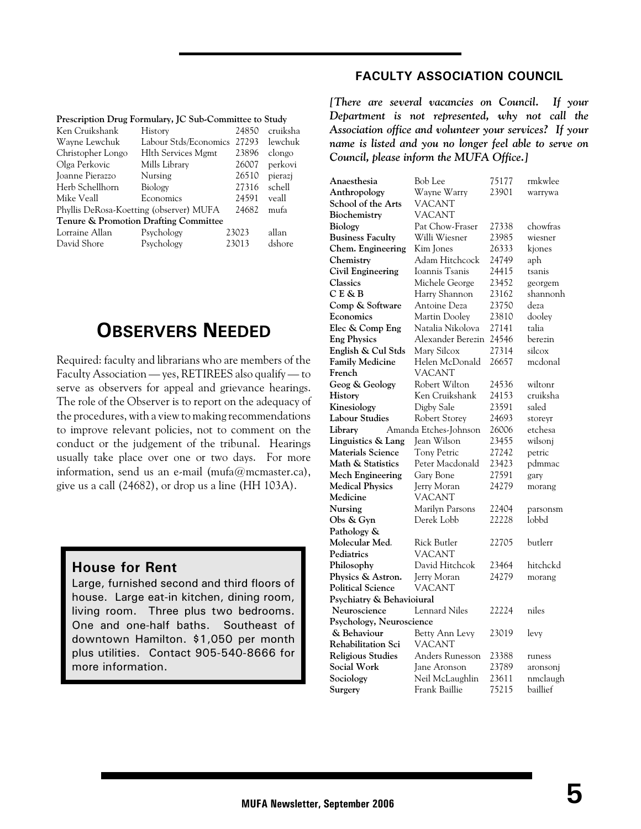|  |  |  | Prescription Drug Formulary, JC Sub-Committee to Study |
|--|--|--|--------------------------------------------------------|
|--|--|--|--------------------------------------------------------|

| Ken Cruikshank                          | History                                          | 24850 | cruiksha |
|-----------------------------------------|--------------------------------------------------|-------|----------|
| Wayne Lewchuk                           | Labour Stds/Economics                            | 27293 | lewchuk  |
| Christopher Longo                       | <b>Hlth Services Mgmt</b>                        | 23896 | clongo   |
| Olga Perkovic                           | Mills Library                                    | 26007 | perkovi  |
| Joanne Pierazzo                         | Nursing                                          | 26510 | pierazi  |
| Herb Schellhorn                         | Biology                                          | 27316 | schell   |
| Mike Veall                              | Economics                                        | 24591 | veall    |
| Phyllis DeRosa-Koetting (observer) MUFA | 24682                                            | mufa  |          |
|                                         | <b>Tenure &amp; Promotion Drafting Committee</b> |       |          |
| Lorraine Allan                          | Psychology                                       | 23023 | allan    |
| David Shore                             | Psychology                                       | 23013 | dshore   |
|                                         |                                                  |       |          |

# **OBSERVERS NEEDED**

Required: faculty and librarians who are members of the Faculty Association — yes, RETIREES also qualify — to serve as observers for appeal and grievance hearings. The role of the Observer is to report on the adequacy of the procedures, with a view to making recommendations to improve relevant policies, not to comment on the conduct or the judgement of the tribunal. Hearings usually take place over one or two days. For more information, send us an e-mail (mufa@mcmaster.ca), give us a call (24682), or drop us a line (HH 103A).

#### **House for Rent**

Large, furnished second and third floors of house. Large eat-in kitchen, dining room, living room. Three plus two bedrooms. One and one-half baths. Southeast of downtown Hamilton. \$1,050 per month plus utilities. Contact 905-540-8666 for more information.

#### **FACULTY ASSOCIATION COUNCIL**

*[There are several vacancies on Council. If your Department is not represented, why not call the Association office and volunteer your services? If your name is listed and you no longer feel able to serve on Council, please inform the MUFA Office.]*

| Anaesthesia               | Bob Lee               | 75177 | rmkwlee  |
|---------------------------|-----------------------|-------|----------|
| Anthropology              | Wayne Warry           | 23901 | warrywa  |
| School of the Arts        | VACANT                |       |          |
| Biochemistry              | VACANT                |       |          |
| Biology                   | Pat Chow-Fraser       | 27338 | chowfras |
| <b>Business Faculty</b>   | Willi Wiesner         | 23985 | wiesner  |
| Chem. Engineering         | Kim Jones             | 26333 | kjones   |
| Chemistry                 | Adam Hitchcock        | 24749 | aph      |
| <b>Civil Engineering</b>  | Ioannis Tsanis        | 24415 | tsanis   |
| Classics                  | Michele George        | 23452 | georgem  |
| $C E \& B$                | Harry Shannon         | 23162 | shannonh |
| Comp & Software           | Antoine Deza          | 23750 | deza     |
| Economics                 | Martin Dooley         | 23810 | dooley   |
| Elec & Comp Eng           | Natalia Nikolova      | 27141 | talia    |
| <b>Eng Physics</b>        | Alexander Berezin     | 24546 | berezin  |
| English & Cul Stds        | Mary Silcox           | 27314 | silcox   |
| <b>Family Medicine</b>    | Helen McDonald        | 26657 | mcdonal  |
| French                    | VACANT                |       |          |
| Geog & Geology            | Robert Wilton         | 24536 | wiltonr  |
| History                   | Ken Cruikshank        | 24153 | cruiksha |
| Kinesiology               | Digby Sale            | 23591 | saled    |
| Labour Studies            | Robert Storey         | 24693 | storeyr  |
| Library                   | Amanda Etches-Johnson | 26006 | etchesa  |
| Linguistics & Lang        | Jean Wilson           | 23455 | wilsonj  |
| Materials Science         | <b>Tony Petric</b>    | 27242 | petric   |
| Math & Statistics         | Peter Macdonald       | 23423 | pdmmac   |
| <b>Mech Engineering</b>   | Gary Bone<br>27591    |       | gary     |
| Medical Physics           | Jerry Moran           | 24279 | morang   |
| Medicine                  | VACANT                |       |          |
| Nursing                   | Marilyn Parsons       | 22404 | parsonsm |
| Obs & Gyn                 | Derek Lobb            | 22228 | lobbd    |
| Pathology &               |                       |       |          |
| Molecular Med.            | Rick Butler           | 22705 | butlerr  |
| Pediatrics                | <b>VACANT</b>         |       |          |
| Philosophy                | David Hitchcok        | 23464 | hitchckd |
| Physics & Astron.         | Jerry Moran           | 24279 | morang   |
| <b>Political Science</b>  | VACANT                |       |          |
| Psychiatry & Behavioiural |                       |       |          |
| Neuroscience              | Lennard Niles         | 22224 | niles    |
| Psychology, Neuroscience  |                       |       |          |
| & Behaviour               | Betty Ann Levy        | 23019 | levy     |
| Rehabilitation Sci        | VACANT                |       |          |
| <b>Religious Studies</b>  | Anders Runesson       | 23388 | runess   |
| Social Work               | Jane Aronson          | 23789 | aronsonj |
| Sociology                 | Neil McLaughlin       | 23611 | nmclaugh |
| Surgery                   | Frank Baillie         | 75215 | baillief |
|                           |                       |       |          |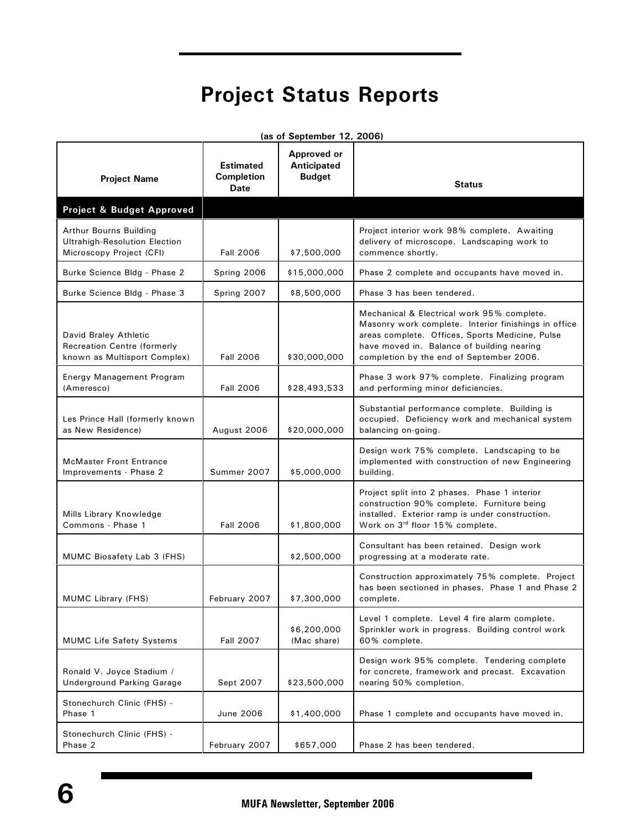# **Project Status Reports**

| (as of September 12, 2006)                                                                  |                                                      |                                             |                                                                                                                                                                                                                                                 |  |
|---------------------------------------------------------------------------------------------|------------------------------------------------------|---------------------------------------------|-------------------------------------------------------------------------------------------------------------------------------------------------------------------------------------------------------------------------------------------------|--|
| <b>Project Name</b>                                                                         | <b>Estimated</b><br><b>Completion</b><br><b>Date</b> | Approved or<br>Anticipated<br><b>Budget</b> | <b>Status</b>                                                                                                                                                                                                                                   |  |
| Project & Budget Approved                                                                   |                                                      |                                             |                                                                                                                                                                                                                                                 |  |
| Arthur Bourns Building<br><b>Ultrahigh-Resolution Election</b><br>Microscopy Project (CFI)  | <b>Fall 2006</b>                                     | \$7,500,000                                 | Project interior work 98% complete. Awaiting<br>delivery of microscope. Landscaping work to<br>commence shortly.                                                                                                                                |  |
| Burke Science Bldg - Phase 2                                                                | Spring 2006                                          | \$15,000,000                                | Phase 2 complete and occupants have moved in.                                                                                                                                                                                                   |  |
| Burke Science Bldg - Phase 3                                                                | Spring 2007                                          | \$8,500,000                                 | Phase 3 has been tendered.                                                                                                                                                                                                                      |  |
| David Braley Athletic<br><b>Recreation Centre (formerly</b><br>known as Multisport Complex) | <b>Fall 2006</b>                                     | \$30,000,000                                | Mechanical & Electrical work 95% complete.<br>Masonry work complete. Interior finishings in office<br>areas complete. Offices, Sports Medicine, Pulse<br>have moved in. Balance of building nearing<br>completion by the end of September 2006. |  |
| Energy Management Program<br>(Ameresco)                                                     | <b>Fall 2006</b>                                     | \$28,493,533                                | Phase 3 work 97% complete. Finalizing program<br>and performing minor deficiencies.                                                                                                                                                             |  |
| Les Prince Hall (formerly known<br>as New Residence)                                        | August 2006                                          | \$20,000,000                                | Substantial performance complete. Building is<br>occupied. Deficiency work and mechanical system<br>balancing on-going.                                                                                                                         |  |
| <b>McMaster Front Entrance</b><br>Improvements - Phase 2                                    | Summer 2007                                          | \$5,000,000                                 | Design work 75% complete. Landscaping to be<br>implemented with construction of new Engineering<br>building.                                                                                                                                    |  |
| Mills Library Knowledge<br>Commons - Phase 1                                                | <b>Fall 2006</b>                                     | \$1,800,000                                 | Project split into 2 phases. Phase 1 interior<br>construction 90% complete. Furniture being<br>installed. Exterior ramp is under construction.<br>Work on 3rd floor 15% complete.                                                               |  |
| MUMC Biosafety Lab 3 (FHS)                                                                  |                                                      | \$2,500,000                                 | Consultant has been retained. Design work<br>progressing at a moderate rate.                                                                                                                                                                    |  |
| MUMC Library (FHS)                                                                          | February 2007                                        | \$7,300,000                                 | Construction approximately 75% complete. Project<br>has been sectioned in phases. Phase 1 and Phase 2<br>complete.                                                                                                                              |  |
| <b>MUMC Life Safety Systems</b>                                                             | <b>Fall 2007</b>                                     | \$6,200,000<br>(Mac share)                  | Level 1 complete. Level 4 fire alarm complete.<br>Sprinkler work in progress. Building control work<br>60% complete.                                                                                                                            |  |
| Ronald V. Joyce Stadium /<br>Underground Parking Garage                                     | Sept 2007                                            | \$23,500,000                                | Design work 95% complete. Tendering complete<br>for concrete, framework and precast. Excavation<br>nearing 50% completion.                                                                                                                      |  |
| Stonechurch Clinic (FHS) -<br>Phase 1                                                       | June 2006                                            | \$1,400,000                                 | Phase 1 complete and occupants have moved in.                                                                                                                                                                                                   |  |
| Stonechurch Clinic (FHS) -<br>Phase 2                                                       | February 2007                                        | \$657,000                                   | Phase 2 has been tendered.                                                                                                                                                                                                                      |  |

 **(as of September 12, 2006)**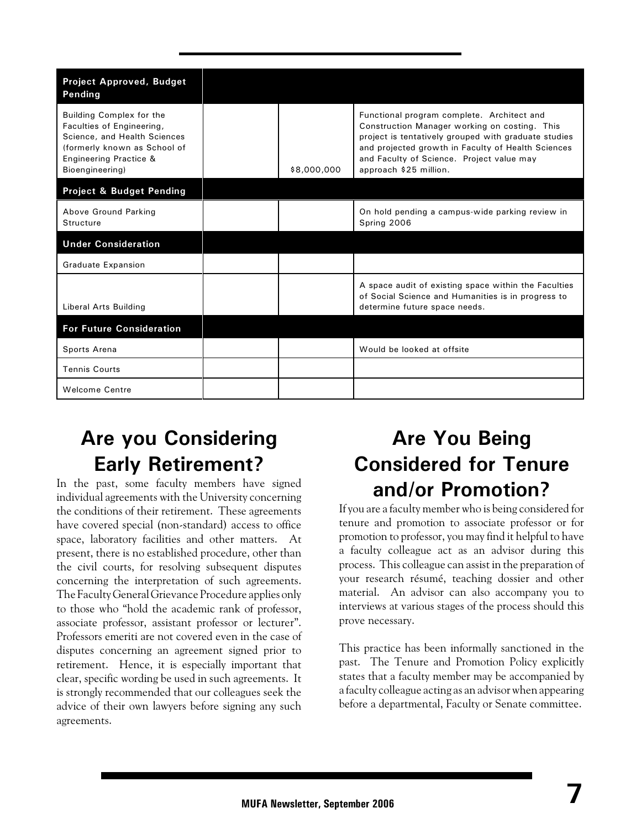| <b>Project Approved, Budget</b><br>Pending                                                                                                                         |             |                                                                                                                                                                                                                                                                                  |
|--------------------------------------------------------------------------------------------------------------------------------------------------------------------|-------------|----------------------------------------------------------------------------------------------------------------------------------------------------------------------------------------------------------------------------------------------------------------------------------|
| Building Complex for the<br>Faculties of Engineering,<br>Science, and Health Sciences<br>(formerly known as School of<br>Engineering Practice &<br>Bioengineering) | \$8,000,000 | Functional program complete. Architect and<br>Construction Manager working on costing. This<br>project is tentatively grouped with graduate studies<br>and projected growth in Faculty of Health Sciences<br>and Faculty of Science. Project value may<br>approach \$25 million. |
| <b>Project &amp; Budget Pending</b>                                                                                                                                |             |                                                                                                                                                                                                                                                                                  |
| Above Ground Parking<br><b>Structure</b>                                                                                                                           |             | On hold pending a campus-wide parking review in<br>Spring 2006                                                                                                                                                                                                                   |
| <b>Under Consideration</b>                                                                                                                                         |             |                                                                                                                                                                                                                                                                                  |
| <b>Graduate Expansion</b>                                                                                                                                          |             |                                                                                                                                                                                                                                                                                  |
| Liberal Arts Building                                                                                                                                              |             | A space audit of existing space within the Faculties<br>of Social Science and Humanities is in progress to<br>determine future space needs.                                                                                                                                      |
| <b>For Future Consideration</b>                                                                                                                                    |             |                                                                                                                                                                                                                                                                                  |
| Sports Arena                                                                                                                                                       |             | Would be looked at offsite                                                                                                                                                                                                                                                       |
| <b>Tennis Courts</b>                                                                                                                                               |             |                                                                                                                                                                                                                                                                                  |
| <b>Welcome Centre</b>                                                                                                                                              |             |                                                                                                                                                                                                                                                                                  |

# **Are you Considering Early Retirement?**

In the past, some faculty members have signed individual agreements with the University concerning the conditions of their retirement. These agreements have covered special (non-standard) access to office space, laboratory facilities and other matters. At present, there is no established procedure, other than the civil courts, for resolving subsequent disputes concerning the interpretation of such agreements. The Faculty General Grievance Procedure applies only to those who "hold the academic rank of professor, associate professor, assistant professor or lecturer". Professors emeriti are not covered even in the case of disputes concerning an agreement signed prior to retirement. Hence, it is especially important that clear, specific wording be used in such agreements. It is strongly recommended that our colleagues seek the advice of their own lawyers before signing any such agreements.

# **Are You Being Considered for Tenure and/or Promotion?**

If you are a faculty member who is being considered for tenure and promotion to associate professor or for promotion to professor, you may find it helpful to have a faculty colleague act as an advisor during this process. This colleague can assist in the preparation of your research résumé, teaching dossier and other material. An advisor can also accompany you to interviews at various stages of the process should this prove necessary.

This practice has been informally sanctioned in the past. The Tenure and Promotion Policy explicitly states that a faculty member may be accompanied by a faculty colleague acting as an advisor when appearing before a departmental, Faculty or Senate committee.